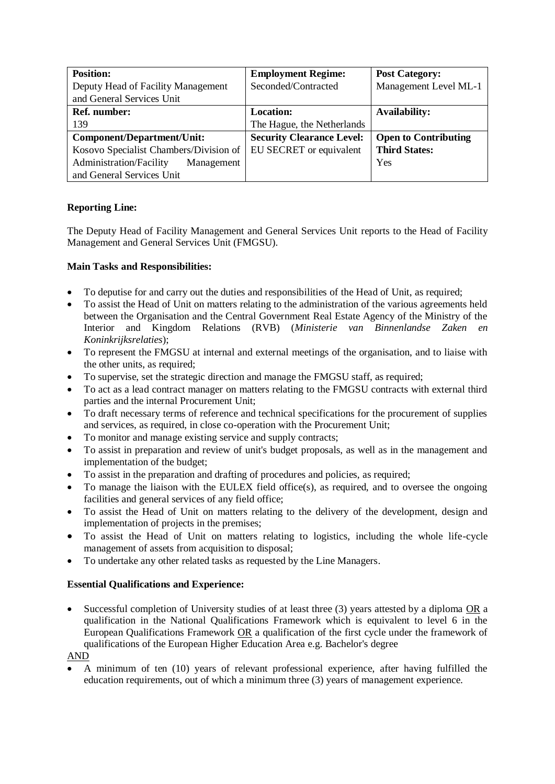| <b>Position:</b>                       | <b>Employment Regime:</b>        | <b>Post Category:</b>       |
|----------------------------------------|----------------------------------|-----------------------------|
| Deputy Head of Facility Management     | Seconded/Contracted              | Management Level ML-1       |
| and General Services Unit              |                                  |                             |
| <b>Ref.</b> number:                    | <b>Location:</b>                 | <b>Availability:</b>        |
| 139                                    | The Hague, the Netherlands       |                             |
| Component/Department/Unit:             | <b>Security Clearance Level:</b> | <b>Open to Contributing</b> |
| Kosovo Specialist Chambers/Division of | EU SECRET or equivalent          | <b>Third States:</b>        |
| Administration/Facility<br>Management  |                                  | Yes                         |
| and General Services Unit              |                                  |                             |

## **Reporting Line:**

The Deputy Head of Facility Management and General Services Unit reports to the Head of Facility Management and General Services Unit (FMGSU).

## **Main Tasks and Responsibilities:**

- To deputise for and carry out the duties and responsibilities of the Head of Unit, as required;
- To assist the Head of Unit on matters relating to the administration of the various agreements held between the Organisation and the Central Government Real Estate Agency of the Ministry of the Interior and Kingdom Relations (RVB) (*Ministerie van Binnenlandse Zaken en Koninkrijksrelaties*);
- To represent the FMGSU at internal and external meetings of the organisation, and to liaise with the other units, as required:
- To supervise, set the strategic direction and manage the FMGSU staff, as required;
- To act as a lead contract manager on matters relating to the FMGSU contracts with external third parties and the internal Procurement Unit;
- To draft necessary terms of reference and technical specifications for the procurement of supplies and services, as required, in close co-operation with the Procurement Unit;
- To monitor and manage existing service and supply contracts;
- To assist in preparation and review of unit's budget proposals, as well as in the management and implementation of the budget;
- To assist in the preparation and drafting of procedures and policies, as required;
- To manage the liaison with the EULEX field office(s), as required, and to oversee the ongoing facilities and general services of any field office;
- To assist the Head of Unit on matters relating to the delivery of the development, design and implementation of projects in the premises;
- To assist the Head of Unit on matters relating to logistics, including the whole life-cycle management of assets from acquisition to disposal:
- To undertake any other related tasks as requested by the Line Managers.

## **Essential Qualifications and Experience:**

• Successful completion of University studies of at least three (3) years attested by a diploma OR a qualification in the National Qualifications Framework which is equivalent to level 6 in the European Qualifications Framework OR a qualification of the first cycle under the framework of qualifications of the European Higher Education Area e.g. Bachelor's degree

AND

• A minimum of ten (10) years of relevant professional experience, after having fulfilled the education requirements, out of which a minimum three (3) years of management experience.